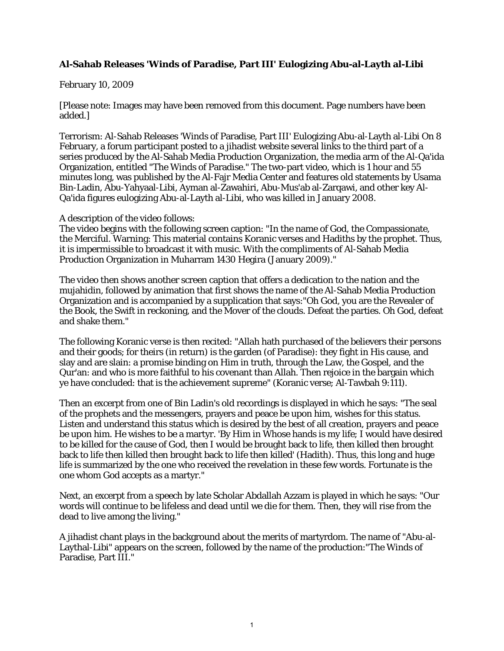## **Al-Sahab Releases 'Winds of Paradise, Part III' Eulogizing Abu-al-Layth al-Libi**

## February 10, 2009

[Please note: Images may have been removed from this document. Page numbers have been added.]

Terrorism: Al-Sahab Releases 'Winds of Paradise, Part III' Eulogizing Abu-al-Layth al-Libi On 8 February, a forum participant posted to a jihadist website several links to the third part of a series produced by the Al-Sahab Media Production Organization, the media arm of the Al-Qa'ida Organization, entitled "The Winds of Paradise." The two-part video, which is 1 hour and 55 minutes long, was published by the Al-Fajr Media Center and features old statements by Usama Bin-Ladin, Abu-Yahyaal-Libi, Ayman al-Zawahiri, Abu-Mus'ab al-Zarqawi, and other key Al-Qa'ida figures eulogizing Abu-al-Layth al-Libi, who was killed in January 2008.

A description of the video follows:

The video begins with the following screen caption: "In the name of God, the Compassionate, the Merciful. Warning: This material contains Koranic verses and Hadiths by the prophet. Thus, it is impermissible to broadcast it with music. With the compliments of Al-Sahab Media Production Organization in Muharram 1430 Hegira (January 2009)."

The video then shows another screen caption that offers a dedication to the nation and the mujahidin, followed by animation that first shows the name of the Al-Sahab Media Production Organization and is accompanied by a supplication that says:"Oh God, you are the Revealer of the Book, the Swift in reckoning, and the Mover of the clouds. Defeat the parties. Oh God, defeat and shake them."

The following Koranic verse is then recited: "Allah hath purchased of the believers their persons and their goods; for theirs (in return) is the garden (of Paradise): they fight in His cause, and slay and are slain: a promise binding on Him in truth, through the Law, the Gospel, and the Qur'an: and who is more faithful to his covenant than Allah. Then rejoice in the bargain which ye have concluded: that is the achievement supreme" (Koranic verse; Al-Tawbah 9:111).

Then an excerpt from one of Bin Ladin's old recordings is displayed in which he says: "The seal of the prophets and the messengers, prayers and peace be upon him, wishes for this status. Listen and understand this status which is desired by the best of all creation, prayers and peace be upon him. He wishes to be a martyr. 'By Him in Whose hands is my life; I would have desired to be killed for the cause of God, then I would be brought back to life, then killed then brought back to life then killed then brought back to life then killed' (Hadith). Thus, this long and huge life is summarized by the one who received the revelation in these few words. Fortunate is the one whom God accepts as a martyr."

Next, an excerpt from a speech by late Scholar Abdallah Azzam is played in which he says: "Our words will continue to be lifeless and dead until we die for them. Then, they will rise from the dead to live among the living."

A jihadist chant plays in the background about the merits of martyrdom. The name of "Abu-al-Laythal-Libi" appears on the screen, followed by the name of the production:"The Winds of Paradise, Part III."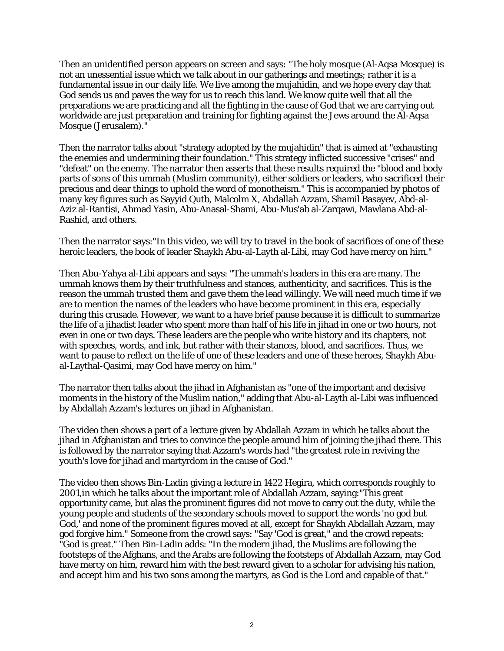Then an unidentified person appears on screen and says: "The holy mosque (Al-Aqsa Mosque) is not an unessential issue which we talk about in our gatherings and meetings; rather it is a fundamental issue in our daily life. We live among the mujahidin, and we hope every day that God sends us and paves the way for us to reach this land. We know quite well that all the preparations we are practicing and all the fighting in the cause of God that we are carrying out worldwide are just preparation and training for fighting against the Jews around the Al-Aqsa Mosque (Jerusalem)."

Then the narrator talks about "strategy adopted by the mujahidin" that is aimed at "exhausting the enemies and undermining their foundation." This strategy inflicted successive "crises" and "defeat" on the enemy. The narrator then asserts that these results required the "blood and body parts of sons of this ummah (Muslim community), either soldiers or leaders, who sacrificed their precious and dear things to uphold the word of monotheism." This is accompanied by photos of many key figures such as Sayyid Qutb, Malcolm X, Abdallah Azzam, Shamil Basayev, Abd-al-Aziz al-Rantisi, Ahmad Yasin, Abu-Anasal-Shami, Abu-Mus'ab al-Zarqawi, Mawlana Abd-al-Rashid, and others.

Then the narrator says:"In this video, we will try to travel in the book of sacrifices of one of these heroic leaders, the book of leader Shaykh Abu-al-Layth al-Libi, may God have mercy on him."

Then Abu-Yahya al-Libi appears and says: "The ummah's leaders in this era are many. The ummah knows them by their truthfulness and stances, authenticity, and sacrifices. This is the reason the ummah trusted them and gave them the lead willingly. We will need much time if we are to mention the names of the leaders who have become prominent in this era, especially during this crusade. However, we want to a have brief pause because it is difficult to summarize the life of a jihadist leader who spent more than half of his life in jihad in one or two hours, not even in one or two days. These leaders are the people who write history and its chapters, not with speeches, words, and ink, but rather with their stances, blood, and sacrifices. Thus, we want to pause to reflect on the life of one of these leaders and one of these heroes, Shaykh Abual-Laythal-Qasimi, may God have mercy on him."

The narrator then talks about the jihad in Afghanistan as "one of the important and decisive moments in the history of the Muslim nation," adding that Abu-al-Layth al-Libi was influenced by Abdallah Azzam's lectures on jihad in Afghanistan.

The video then shows a part of a lecture given by Abdallah Azzam in which he talks about the jihad in Afghanistan and tries to convince the people around him of joining the jihad there. This is followed by the narrator saying that Azzam's words had "the greatest role in reviving the youth's love for jihad and martyrdom in the cause of God."

The video then shows Bin-Ladin giving a lecture in 1422 Hegira, which corresponds roughly to 2001,in which he talks about the important role of Abdallah Azzam, saying:"This great opportunity came, but alas the prominent figures did not move to carry out the duty, while the young people and students of the secondary schools moved to support the words 'no god but God,' and none of the prominent figures moved at all, except for Shaykh Abdallah Azzam, may god forgive him." Someone from the crowd says: "Say 'God is great," and the crowd repeats: "God is great." Then Bin-Ladin adds: "In the modern jihad, the Muslims are following the footsteps of the Afghans, and the Arabs are following the footsteps of Abdallah Azzam, may God have mercy on him, reward him with the best reward given to a scholar for advising his nation, and accept him and his two sons among the martyrs, as God is the Lord and capable of that."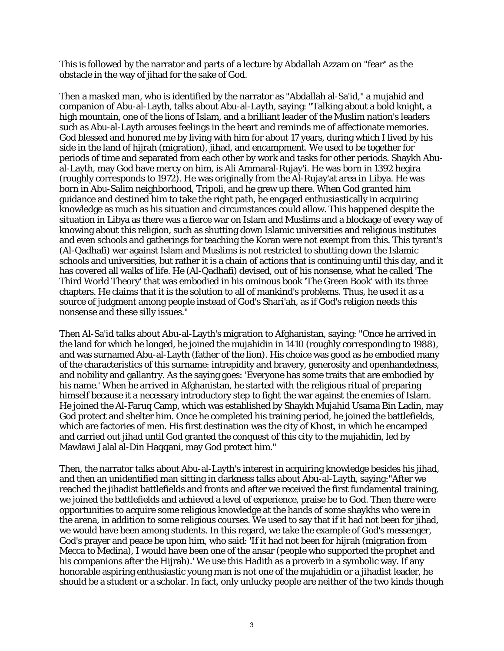This is followed by the narrator and parts of a lecture by Abdallah Azzam on "fear" as the obstacle in the way of jihad for the sake of God.

Then a masked man, who is identified by the narrator as "Abdallah al-Sa'id," a mujahid and companion of Abu-al-Layth, talks about Abu-al-Layth, saying: "Talking about a bold knight, a high mountain, one of the lions of Islam, and a brilliant leader of the Muslim nation's leaders such as Abu-al-Layth arouses feelings in the heart and reminds me of affectionate memories. God blessed and honored me by living with him for about 17 years, during which I lived by his side in the land of hijrah (migration), jihad, and encampment. We used to be together for periods of time and separated from each other by work and tasks for other periods. Shaykh Abual-Layth, may God have mercy on him, is Ali Ammaral-Rujay'i. He was born in 1392 hegira (roughly corresponds to 1972). He was originally from the Al-Rujay'at area in Libya. He was born in Abu-Salim neighborhood, Tripoli, and he grew up there. When God granted him guidance and destined him to take the right path, he engaged enthusiastically in acquiring knowledge as much as his situation and circumstances could allow. This happened despite the situation in Libya as there was a fierce war on Islam and Muslims and a blockage of every way of knowing about this religion, such as shutting down Islamic universities and religious institutes and even schools and gatherings for teaching the Koran were not exempt from this. This tyrant's (Al-Qadhafi) war against Islam and Muslims is not restricted to shutting down the Islamic schools and universities, but rather it is a chain of actions that is continuing until this day, and it has covered all walks of life. He (Al-Qadhafi) devised, out of his nonsense, what he called 'The Third World Theory' that was embodied in his ominous book 'The Green Book' with its three chapters. He claims that it is the solution to all of mankind's problems. Thus, he used it as a source of judgment among people instead of God's Shari'ah, as if God's religion needs this nonsense and these silly issues."

Then Al-Sa'id talks about Abu-al-Layth's migration to Afghanistan, saying: "Once he arrived in the land for which he longed, he joined the mujahidin in 1410 (roughly corresponding to 1988), and was surnamed Abu-al-Layth (father of the lion). His choice was good as he embodied many of the characteristics of this surname: intrepidity and bravery, generosity and openhandedness, and nobility and gallantry. As the saying goes: 'Everyone has some traits that are embodied by his name.' When he arrived in Afghanistan, he started with the religious ritual of preparing himself because it a necessary introductory step to fight the war against the enemies of Islam. He joined the Al-Faruq Camp, which was established by Shaykh Mujahid Usama Bin Ladin, may God protect and shelter him. Once he completed his training period, he joined the battlefields, which are factories of men. His first destination was the city of Khost, in which he encamped and carried out jihad until God granted the conquest of this city to the mujahidin, led by Mawlawi Jalal al-Din Haqqani, may God protect him."

Then, the narrator talks about Abu-al-Layth's interest in acquiring knowledge besides his jihad, and then an unidentified man sitting in darkness talks about Abu-al-Layth, saying:"After we reached the jihadist battlefields and fronts and after we received the first fundamental training, we joined the battlefields and achieved a level of experience, praise be to God. Then there were opportunities to acquire some religious knowledge at the hands of some shaykhs who were in the arena, in addition to some religious courses. We used to say that if it had not been for jihad, we would have been among students. In this regard, we take the example of God's messenger, God's prayer and peace be upon him, who said: 'If it had not been for hijrah (migration from Mecca to Medina), I would have been one of the ansar (people who supported the prophet and his companions after the Hijrah).' We use this Hadith as a proverb in a symbolic way. If any honorable aspiring enthusiastic young man is not one of the mujahidin or a jihadist leader, he should be a student or a scholar. In fact, only unlucky people are neither of the two kinds though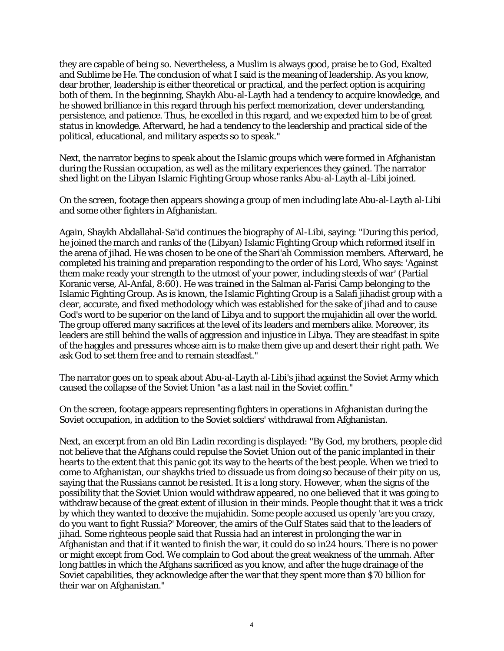they are capable of being so. Nevertheless, a Muslim is always good, praise be to God, Exalted and Sublime be He. The conclusion of what I said is the meaning of leadership. As you know, dear brother, leadership is either theoretical or practical, and the perfect option is acquiring both of them. In the beginning, Shaykh Abu-al-Layth had a tendency to acquire knowledge, and he showed brilliance in this regard through his perfect memorization, clever understanding, persistence, and patience. Thus, he excelled in this regard, and we expected him to be of great status in knowledge. Afterward, he had a tendency to the leadership and practical side of the political, educational, and military aspects so to speak."

Next, the narrator begins to speak about the Islamic groups which were formed in Afghanistan during the Russian occupation, as well as the military experiences they gained. The narrator shed light on the Libyan Islamic Fighting Group whose ranks Abu-al-Layth al-Libi joined.

On the screen, footage then appears showing a group of men including late Abu-al-Layth al-Libi and some other fighters in Afghanistan.

Again, Shaykh Abdallahal-Sa'id continues the biography of Al-Libi, saying: "During this period, he joined the march and ranks of the (Libyan) Islamic Fighting Group which reformed itself in the arena of jihad. He was chosen to be one of the Shari'ah Commission members. Afterward, he completed his training and preparation responding to the order of his Lord, Who says: 'Against them make ready your strength to the utmost of your power, including steeds of war' (Partial Koranic verse, Al-Anfal, 8:60). He was trained in the Salman al-Farisi Camp belonging to the Islamic Fighting Group. As is known, the Islamic Fighting Group is a Salafi jihadist group with a clear, accurate, and fixed methodology which was established for the sake of jihad and to cause God's word to be superior on the land of Libya and to support the mujahidin all over the world. The group offered many sacrifices at the level of its leaders and members alike. Moreover, its leaders are still behind the walls of aggression and injustice in Libya. They are steadfast in spite of the haggles and pressures whose aim is to make them give up and desert their right path. We ask God to set them free and to remain steadfast."

The narrator goes on to speak about Abu-al-Layth al-Libi's jihad against the Soviet Army which caused the collapse of the Soviet Union "as a last nail in the Soviet coffin."

On the screen, footage appears representing fighters in operations in Afghanistan during the Soviet occupation, in addition to the Soviet soldiers' withdrawal from Afghanistan.

Next, an excerpt from an old Bin Ladin recording is displayed: "By God, my brothers, people did not believe that the Afghans could repulse the Soviet Union out of the panic implanted in their hearts to the extent that this panic got its way to the hearts of the best people. When we tried to come to Afghanistan, our shaykhs tried to dissuade us from doing so because of their pity on us, saying that the Russians cannot be resisted. It is a long story. However, when the signs of the possibility that the Soviet Union would withdraw appeared, no one believed that it was going to withdraw because of the great extent of illusion in their minds. People thought that it was a trick by which they wanted to deceive the mujahidin. Some people accused us openly 'are you crazy, do you want to fight Russia?' Moreover, the amirs of the Gulf States said that to the leaders of jihad. Some righteous people said that Russia had an interest in prolonging the war in Afghanistan and that if it wanted to finish the war, it could do so in24 hours. There is no power or might except from God. We complain to God about the great weakness of the ummah. After long battles in which the Afghans sacrificed as you know, and after the huge drainage of the Soviet capabilities, they acknowledge after the war that they spent more than \$70 billion for their war on Afghanistan."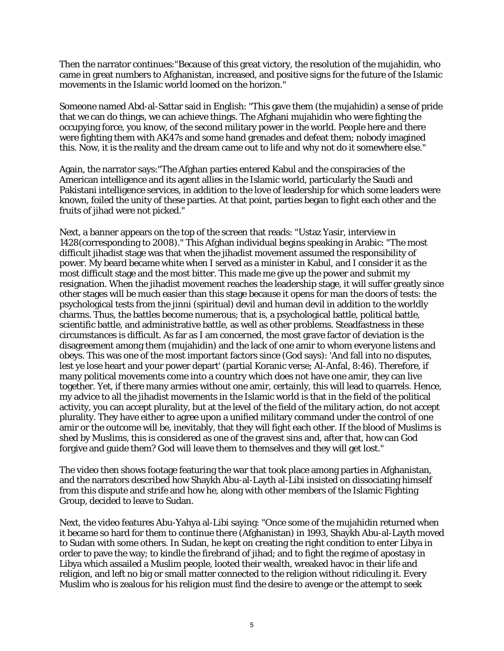Then the narrator continues:"Because of this great victory, the resolution of the mujahidin, who came in great numbers to Afghanistan, increased, and positive signs for the future of the Islamic movements in the Islamic world loomed on the horizon."

Someone named Abd-al-Sattar said in English: "This gave them (the mujahidin) a sense of pride that we can do things, we can achieve things. The Afghani mujahidin who were fighting the occupying force, you know, of the second military power in the world. People here and there were fighting them with AK47s and some hand grenades and defeat them; nobody imagined this. Now, it is the reality and the dream came out to life and why not do it somewhere else."

Again, the narrator says:"The Afghan parties entered Kabul and the conspiracies of the American intelligence and its agent allies in the Islamic world, particularly the Saudi and Pakistani intelligence services, in addition to the love of leadership for which some leaders were known, foiled the unity of these parties. At that point, parties began to fight each other and the fruits of jihad were not picked."

Next, a banner appears on the top of the screen that reads: "Ustaz Yasir, interview in 1428(corresponding to 2008)." This Afghan individual begins speaking in Arabic: "The most difficult jihadist stage was that when the jihadist movement assumed the responsibility of power. My beard became white when I served as a minister in Kabul, and I consider it as the most difficult stage and the most bitter. This made me give up the power and submit my resignation. When the jihadist movement reaches the leadership stage, it will suffer greatly since other stages will be much easier than this stage because it opens for man the doors of tests: the psychological tests from the jinni (spiritual) devil and human devil in addition to the worldly charms. Thus, the battles become numerous; that is, a psychological battle, political battle, scientific battle, and administrative battle, as well as other problems. Steadfastness in these circumstances is difficult. As far as I am concerned, the most grave factor of deviation is the disagreement among them (mujahidin) and the lack of one amir to whom everyone listens and obeys. This was one of the most important factors since (God says): 'And fall into no disputes, lest ye lose heart and your power depart' (partial Koranic verse; Al-Anfal, 8:46). Therefore, if many political movements come into a country which does not have one amir, they can live together. Yet, if there many armies without one amir, certainly, this will lead to quarrels. Hence, my advice to all the jihadist movements in the Islamic world is that in the field of the political activity, you can accept plurality, but at the level of the field of the military action, do not accept plurality. They have either to agree upon a unified military command under the control of one amir or the outcome will be, inevitably, that they will fight each other. If the blood of Muslims is shed by Muslims, this is considered as one of the gravest sins and, after that, how can God forgive and guide them? God will leave them to themselves and they will get lost."

The video then shows footage featuring the war that took place among parties in Afghanistan, and the narrators described how Shaykh Abu-al-Layth al-Libi insisted on dissociating himself from this dispute and strife and how he, along with other members of the Islamic Fighting Group, decided to leave to Sudan.

Next, the video features Abu-Yahya al-Libi saying: "Once some of the mujahidin returned when it became so hard for them to continue there (Afghanistan) in 1993, Shaykh Abu-al-Layth moved to Sudan with some others. In Sudan, he kept on creating the right condition to enter Libya in order to pave the way; to kindle the firebrand of jihad; and to fight the regime of apostasy in Libya which assailed a Muslim people, looted their wealth, wreaked havoc in their life and religion, and left no big or small matter connected to the religion without ridiculing it. Every Muslim who is zealous for his religion must find the desire to avenge or the attempt to seek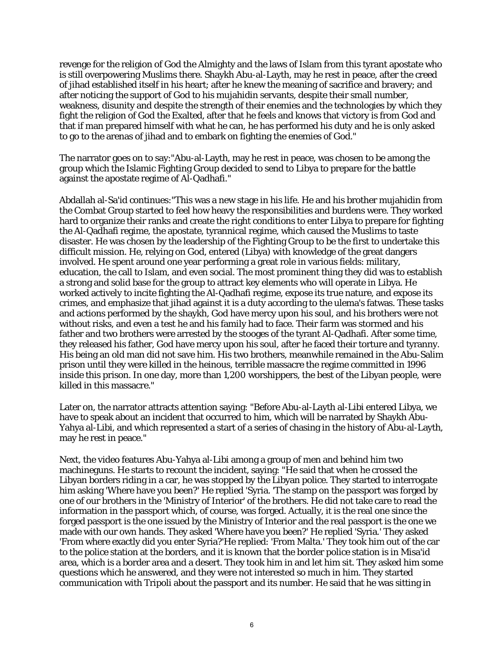revenge for the religion of God the Almighty and the laws of Islam from this tyrant apostate who is still overpowering Muslims there. Shaykh Abu-al-Layth, may he rest in peace, after the creed of jihad established itself in his heart; after he knew the meaning of sacrifice and bravery; and after noticing the support of God to his mujahidin servants, despite their small number, weakness, disunity and despite the strength of their enemies and the technologies by which they fight the religion of God the Exalted, after that he feels and knows that victory is from God and that if man prepared himself with what he can, he has performed his duty and he is only asked to go to the arenas of jihad and to embark on fighting the enemies of God."

The narrator goes on to say:"Abu-al-Layth, may he rest in peace, was chosen to be among the group which the Islamic Fighting Group decided to send to Libya to prepare for the battle against the apostate regime of Al-Qadhafi."

Abdallah al-Sa'id continues:"This was a new stage in his life. He and his brother mujahidin from the Combat Group started to feel how heavy the responsibilities and burdens were. They worked hard to organize their ranks and create the right conditions to enter Libya to prepare for fighting the Al-Qadhafi regime, the apostate, tyrannical regime, which caused the Muslims to taste disaster. He was chosen by the leadership of the Fighting Group to be the first to undertake this difficult mission. He, relying on God, entered (Libya) with knowledge of the great dangers involved. He spent around one year performing a great role in various fields: military, education, the call to Islam, and even social. The most prominent thing they did was to establish a strong and solid base for the group to attract key elements who will operate in Libya. He worked actively to incite fighting the Al-Qadhafi regime, expose its true nature, and expose its crimes, and emphasize that jihad against it is a duty according to the ulema's fatwas. These tasks and actions performed by the shaykh, God have mercy upon his soul, and his brothers were not without risks, and even a test he and his family had to face. Their farm was stormed and his father and two brothers were arrested by the stooges of the tyrant Al-Qadhafi. After some time, they released his father, God have mercy upon his soul, after he faced their torture and tyranny. His being an old man did not save him. His two brothers, meanwhile remained in the Abu-Salim prison until they were killed in the heinous, terrible massacre the regime committed in 1996 inside this prison. In one day, more than 1,200 worshippers, the best of the Libyan people, were killed in this massacre."

Later on, the narrator attracts attention saying: "Before Abu-al-Layth al-Libi entered Libya, we have to speak about an incident that occurred to him, which will be narrated by Shaykh Abu-Yahya al-Libi, and which represented a start of a series of chasing in the history of Abu-al-Layth, may he rest in peace."

Next, the video features Abu-Yahya al-Libi among a group of men and behind him two machineguns. He starts to recount the incident, saying: "He said that when he crossed the Libyan borders riding in a car, he was stopped by the Libyan police. They started to interrogate him asking 'Where have you been?' He replied 'Syria. 'The stamp on the passport was forged by one of our brothers in the 'Ministry of Interior' of the brothers. He did not take care to read the information in the passport which, of course, was forged. Actually, it is the real one since the forged passport is the one issued by the Ministry of Interior and the real passport is the one we made with our own hands. They asked 'Where have you been?' He replied 'Syria.' They asked 'From where exactly did you enter Syria?'He replied: 'From Malta.' They took him out of the car to the police station at the borders, and it is known that the border police station is in Misa'id area, which is a border area and a desert. They took him in and let him sit. They asked him some questions which he answered, and they were not interested so much in him. They started communication with Tripoli about the passport and its number. He said that he was sitting in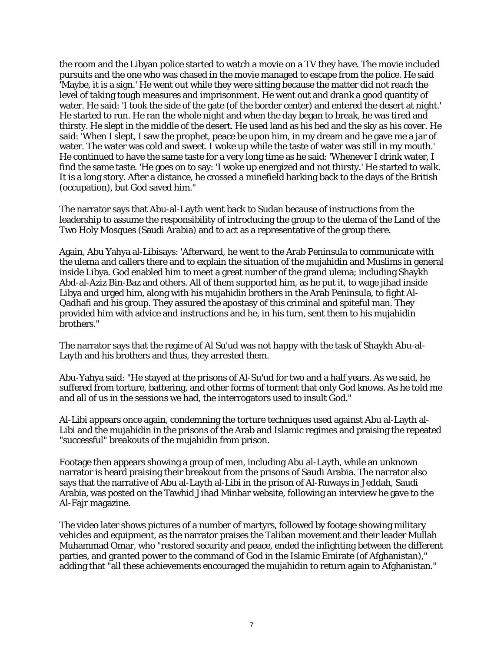the room and the Libyan police started to watch a movie on a TV they have. The movie included pursuits and the one who was chased in the movie managed to escape from the police. He said 'Maybe, it is a sign.' He went out while they were sitting because the matter did not reach the level of taking tough measures and imprisonment. He went out and drank a good quantity of water. He said: 'I took the side of the gate (of the border center) and entered the desert at night.' He started to run. He ran the whole night and when the day began to break, he was tired and thirsty. He slept in the middle of the desert. He used land as his bed and the sky as his cover. He said: 'When I slept, I saw the prophet, peace be upon him, in my dream and he gave me a jar of water. The water was cold and sweet. I woke up while the taste of water was still in my mouth.' He continued to have the same taste for a very long time as he said: 'Whenever I drink water, I find the same taste. 'He goes on to say: 'I woke up energized and not thirsty.' He started to walk. It is a long story. After a distance, he crossed a minefield harking back to the days of the British (occupation), but God saved him."

The narrator says that Abu-al-Layth went back to Sudan because of instructions from the leadership to assume the responsibility of introducing the group to the ulema of the Land of the Two Holy Mosques (Saudi Arabia) and to act as a representative of the group there.

Again, Abu Yahya al-Libisays: 'Afterward, he went to the Arab Peninsula to communicate with the ulema and callers there and to explain the situation of the mujahidin and Muslims in general inside Libya. God enabled him to meet a great number of the grand ulema; including Shaykh Abd-al-Aziz Bin-Baz and others. All of them supported him, as he put it, to wage jihad inside Libya and urged him, along with his mujahidin brothers in the Arab Peninsula, to fight Al-Qadhafi and his group. They assured the apostasy of this criminal and spiteful man. They provided him with advice and instructions and he, in his turn, sent them to his mujahidin brothers."

The narrator says that the regime of Al Su'ud was not happy with the task of Shaykh Abu-al-Layth and his brothers and thus, they arrested them.

Abu-Yahya said: "He stayed at the prisons of Al-Su'ud for two and a half years. As we said, he suffered from torture, battering, and other forms of torment that only God knows. As he told me and all of us in the sessions we had, the interrogators used to insult God."

Al-Libi appears once again, condemning the torture techniques used against Abu al-Layth al-Libi and the mujahidin in the prisons of the Arab and Islamic regimes and praising the repeated "successful" breakouts of the mujahidin from prison.

Footage then appears showing a group of men, including Abu al-Layth, while an unknown narrator is heard praising their breakout from the prisons of Saudi Arabia. The narrator also says that the narrative of Abu al-Layth al-Libi in the prison of Al-Ruways in Jeddah, Saudi Arabia, was posted on the Tawhid Jihad Minbar website, following an interview he gave to the Al-Fajr magazine.

The video later shows pictures of a number of martyrs, followed by footage showing military vehicles and equipment, as the narrator praises the Taliban movement and their leader Mullah Muhammad Omar, who "restored security and peace, ended the infighting between the different parties, and granted power to the command of God in the Islamic Emirate (of Afghanistan)," adding that "all these achievements encouraged the mujahidin to return again to Afghanistan."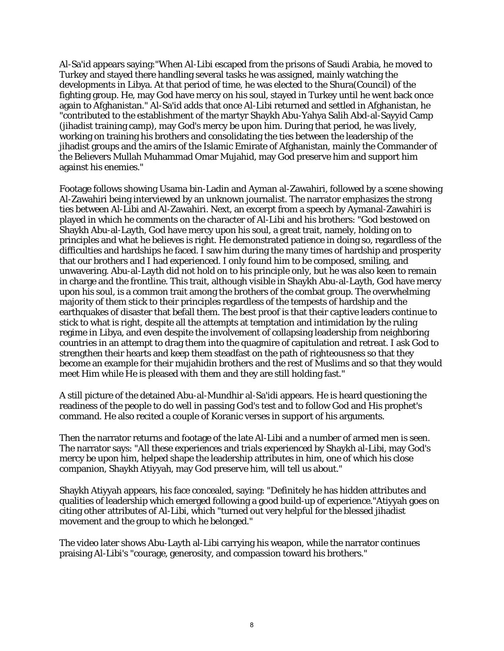Al-Sa'id appears saying:"When Al-Libi escaped from the prisons of Saudi Arabia, he moved to Turkey and stayed there handling several tasks he was assigned, mainly watching the developments in Libya. At that period of time, he was elected to the Shura(Council) of the fighting group. He, may God have mercy on his soul, stayed in Turkey until he went back once again to Afghanistan." Al-Sa'id adds that once Al-Libi returned and settled in Afghanistan, he "contributed to the establishment of the martyr Shaykh Abu-Yahya Salih Abd-al-Sayyid Camp (jihadist training camp), may God's mercy be upon him. During that period, he was lively, working on training his brothers and consolidating the ties between the leadership of the jihadist groups and the amirs of the Islamic Emirate of Afghanistan, mainly the Commander of the Believers Mullah Muhammad Omar Mujahid, may God preserve him and support him against his enemies."

Footage follows showing Usama bin-Ladin and Ayman al-Zawahiri, followed by a scene showing Al-Zawahiri being interviewed by an unknown journalist. The narrator emphasizes the strong ties between Al-Libi and Al-Zawahiri. Next, an excerpt from a speech by Aymanal-Zawahiri is played in which he comments on the character of Al-Libi and his brothers: "God bestowed on Shaykh Abu-al-Layth, God have mercy upon his soul, a great trait, namely, holding on to principles and what he believes is right. He demonstrated patience in doing so, regardless of the difficulties and hardships he faced.  $\overline{I}$  saw him during the many times of hardship and prosperity that our brothers and I had experienced. I only found him to be composed, smiling, and unwavering. Abu-al-Layth did not hold on to his principle only, but he was also keen to remain in charge and the frontline. This trait, although visible in Shaykh Abu-al-Layth, God have mercy upon his soul, is a common trait among the brothers of the combat group. The overwhelming majority of them stick to their principles regardless of the tempests of hardship and the earthquakes of disaster that befall them. The best proof is that their captive leaders continue to stick to what is right, despite all the attempts at temptation and intimidation by the ruling regime in Libya, and even despite the involvement of collapsing leadership from neighboring countries in an attempt to drag them into the quagmire of capitulation and retreat. I ask God to strengthen their hearts and keep them steadfast on the path of righteousness so that they become an example for their mujahidin brothers and the rest of Muslims and so that they would meet Him while He is pleased with them and they are still holding fast."

A still picture of the detained Abu-al-Mundhir al-Sa'idi appears. He is heard questioning the readiness of the people to do well in passing God's test and to follow God and His prophet's command. He also recited a couple of Koranic verses in support of his arguments.

Then the narrator returns and footage of the late Al-Libi and a number of armed men is seen. The narrator says: "All these experiences and trials experienced by Shaykh al-Libi, may God's mercy be upon him, helped shape the leadership attributes in him, one of which his close companion, Shaykh Atiyyah, may God preserve him, will tell us about."

Shaykh Atiyyah appears, his face concealed, saying: "Definitely he has hidden attributes and qualities of leadership which emerged following a good build-up of experience."Atiyyah goes on citing other attributes of Al-Libi, which "turned out very helpful for the blessed jihadist movement and the group to which he belonged."

The video later shows Abu-Layth al-Libi carrying his weapon, while the narrator continues praising Al-Libi's "courage, generosity, and compassion toward his brothers."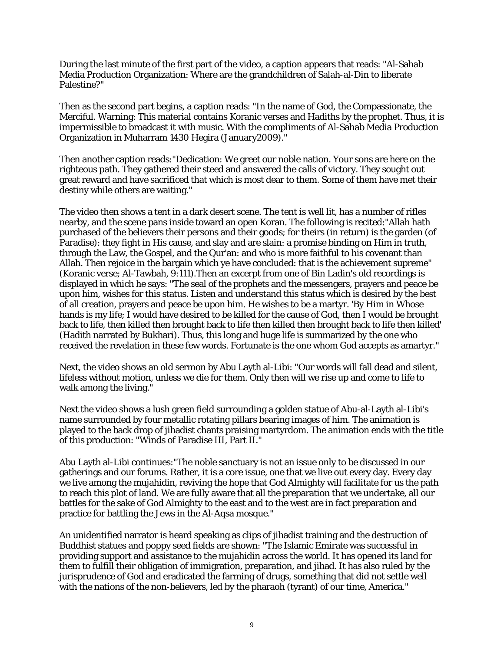During the last minute of the first part of the video, a caption appears that reads: "Al-Sahab Media Production Organization: Where are the grandchildren of Salah-al-Din to liberate Palestine?"

Then as the second part begins, a caption reads: "In the name of God, the Compassionate, the Merciful. Warning: This material contains Koranic verses and Hadiths by the prophet. Thus, it is impermissible to broadcast it with music. With the compliments of Al-Sahab Media Production Organization in Muharram 1430 Hegira (January2009)."

Then another caption reads:"Dedication: We greet our noble nation. Your sons are here on the righteous path. They gathered their steed and answered the calls of victory. They sought out great reward and have sacrificed that which is most dear to them. Some of them have met their destiny while others are waiting."

The video then shows a tent in a dark desert scene. The tent is well lit, has a number of rifles nearby, and the scene pans inside toward an open Koran. The following is recited:"Allah hath purchased of the believers their persons and their goods; for theirs (in return) is the garden (of Paradise): they fight in His cause, and slay and are slain: a promise binding on Him in truth, through the Law, the Gospel, and the Qur'an: and who is more faithful to his covenant than Allah. Then rejoice in the bargain which ye have concluded: that is the achievement supreme" (Koranic verse; Al-Tawbah, 9:111).Then an excerpt from one of Bin Ladin's old recordings is displayed in which he says: "The seal of the prophets and the messengers, prayers and peace be upon him, wishes for this status. Listen and understand this status which is desired by the best of all creation, prayers and peace be upon him. He wishes to be a martyr. 'By Him in Whose hands is my life; I would have desired to be killed for the cause of God, then I would be brought back to life, then killed then brought back to life then killed then brought back to life then killed' (Hadith narrated by Bukhari). Thus, this long and huge life is summarized by the one who received the revelation in these few words. Fortunate is the one whom God accepts as amartyr."

Next, the video shows an old sermon by Abu Layth al-Libi: "Our words will fall dead and silent, lifeless without motion, unless we die for them. Only then will we rise up and come to life to walk among the living."

Next the video shows a lush green field surrounding a golden statue of Abu-al-Layth al-Libi's name surrounded by four metallic rotating pillars bearing images of him. The animation is played to the back drop of jihadist chants praising martyrdom. The animation ends with the title of this production: "Winds of Paradise III, Part II."

Abu Layth al-Libi continues:"The noble sanctuary is not an issue only to be discussed in our gatherings and our forums. Rather, it is a core issue, one that we live out every day. Every day we live among the mujahidin, reviving the hope that God Almighty will facilitate for us the path to reach this plot of land. We are fully aware that all the preparation that we undertake, all our battles for the sake of God Almighty to the east and to the west are in fact preparation and practice for battling the Jews in the Al-Aqsa mosque."

An unidentified narrator is heard speaking as clips of jihadist training and the destruction of Buddhist statues and poppy seed fields are shown: "The Islamic Emirate was successful in providing support and assistance to the mujahidin across the world. It has opened its land for them to fulfill their obligation of immigration, preparation, and jihad. It has also ruled by the jurisprudence of God and eradicated the farming of drugs, something that did not settle well with the nations of the non-believers, led by the pharaoh (tyrant) of our time, America."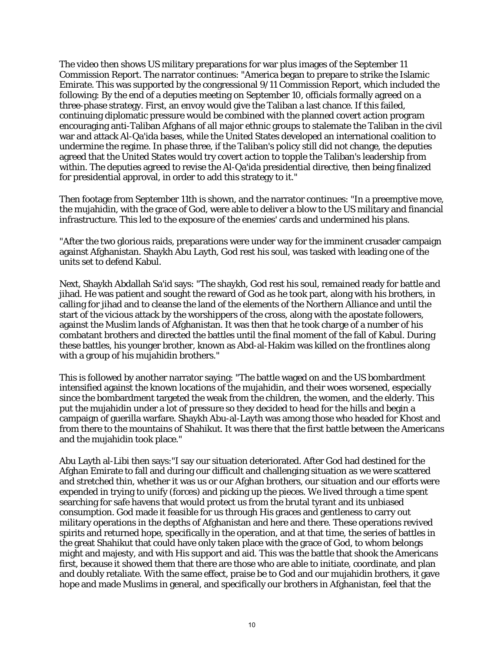The video then shows US military preparations for war plus images of the September 11 Commission Report. The narrator continues: "America began to prepare to strike the Islamic Emirate. This was supported by the congressional 9/11 Commission Report, which included the following: By the end of a deputies meeting on September 10, officials formally agreed on a three-phase strategy. First, an envoy would give the Taliban a last chance. If this failed, continuing diplomatic pressure would be combined with the planned covert action program encouraging anti-Taliban Afghans of all major ethnic groups to stalemate the Taliban in the civil war and attack Al-Qa'ida bases, while the United States developed an international coalition to undermine the regime. In phase three, if the Taliban's policy still did not change, the deputies agreed that the United States would try covert action to topple the Taliban's leadership from within. The deputies agreed to revise the Al-Qa'ida presidential directive, then being finalized for presidential approval, in order to add this strategy to it."

Then footage from September 11th is shown, and the narrator continues: "In a preemptive move, the mujahidin, with the grace of God, were able to deliver a blow to the US military and financial infrastructure. This led to the exposure of the enemies' cards and undermined his plans.

"After the two glorious raids, preparations were under way for the imminent crusader campaign against Afghanistan. Shaykh Abu Layth, God rest his soul, was tasked with leading one of the units set to defend Kabul.

Next, Shaykh Abdallah Sa'id says: "The shaykh, God rest his soul, remained ready for battle and jihad. He was patient and sought the reward of God as he took part, along with his brothers, in calling for jihad and to cleanse the land of the elements of the Northern Alliance and until the start of the vicious attack by the worshippers of the cross, along with the apostate followers, against the Muslim lands of Afghanistan. It was then that he took charge of a number of his combatant brothers and directed the battles until the final moment of the fall of Kabul. During these battles, his younger brother, known as Abd-al-Hakim was killed on the frontlines along with a group of his mujahidin brothers."

This is followed by another narrator saying: "The battle waged on and the US bombardment intensified against the known locations of the mujahidin, and their woes worsened, especially since the bombardment targeted the weak from the children, the women, and the elderly. This put the mujahidin under a lot of pressure so they decided to head for the hills and begin a campaign of guerilla warfare. Shaykh Abu-al-Layth was among those who headed for Khost and from there to the mountains of Shahikut. It was there that the first battle between the Americans and the mujahidin took place."

Abu Layth al-Libi then says:"I say our situation deteriorated. After God had destined for the Afghan Emirate to fall and during our difficult and challenging situation as we were scattered and stretched thin, whether it was us or our Afghan brothers, our situation and our efforts were expended in trying to unify (forces) and picking up the pieces. We lived through a time spent searching for safe havens that would protect us from the brutal tyrant and its unbiased consumption. God made it feasible for us through His graces and gentleness to carry out military operations in the depths of Afghanistan and here and there. These operations revived spirits and returned hope, specifically in the operation, and at that time, the series of battles in the great Shahikut that could have only taken place with the grace of God, to whom belongs might and majesty, and with His support and aid. This was the battle that shook the Americans first, because it showed them that there are those who are able to initiate, coordinate, and plan and doubly retaliate. With the same effect, praise be to God and our mujahidin brothers, it gave hope and made Muslims in general, and specifically our brothers in Afghanistan, feel that the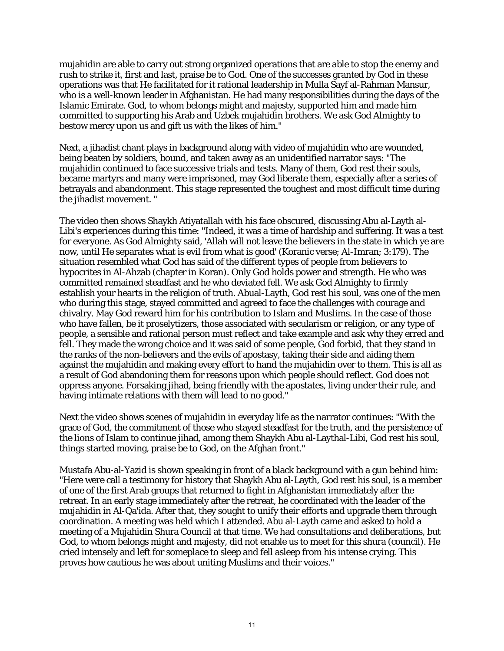mujahidin are able to carry out strong organized operations that are able to stop the enemy and rush to strike it, first and last, praise be to God. One of the successes granted by God in these operations was that He facilitated for it rational leadership in Mulla Sayf al-Rahman Mansur, who is a well-known leader in Afghanistan. He had many responsibilities during the days of the Islamic Emirate. God, to whom belongs might and majesty, supported him and made him committed to supporting his Arab and Uzbek mujahidin brothers. We ask God Almighty to bestow mercy upon us and gift us with the likes of him."

Next, a jihadist chant plays in background along with video of mujahidin who are wounded, being beaten by soldiers, bound, and taken away as an unidentified narrator says: "The mujahidin continued to face successive trials and tests. Many of them, God rest their souls, became martyrs and many were imprisoned, may God liberate them, especially after a series of betrayals and abandonment. This stage represented the toughest and most difficult time during the jihadist movement. "

The video then shows Shaykh Atiyatallah with his face obscured, discussing Abu al-Layth al-Libi's experiences during this time: "Indeed, it was a time of hardship and suffering. It was a test for everyone. As God Almighty said, 'Allah will not leave the believers in the state in which ye are now, until He separates what is evil from what is good' (Koranic verse; Al-Imran; 3:179). The situation resembled what God has said of the different types of people from believers to hypocrites in Al-Ahzab (chapter in Koran). Only God holds power and strength. He who was committed remained steadfast and he who deviated fell. We ask God Almighty to firmly establish your hearts in the religion of truth. Abual-Layth, God rest his soul, was one of the men who during this stage, stayed committed and agreed to face the challenges with courage and chivalry. May God reward him for his contribution to Islam and Muslims. In the case of those who have fallen, be it proselytizers, those associated with secularism or religion, or any type of people, a sensible and rational person must reflect and take example and ask why they erred and fell. They made the wrong choice and it was said of some people, God forbid, that they stand in the ranks of the non-believers and the evils of apostasy, taking their side and aiding them against the mujahidin and making every effort to hand the mujahidin over to them. This is all as a result of God abandoning them for reasons upon which people should reflect. God does not oppress anyone. Forsaking jihad, being friendly with the apostates, living under their rule, and having intimate relations with them will lead to no good."

Next the video shows scenes of mujahidin in everyday life as the narrator continues: "With the grace of God, the commitment of those who stayed steadfast for the truth, and the persistence of the lions of Islam to continue jihad, among them Shaykh Abu al-Laythal-Libi, God rest his soul, things started moving, praise be to God, on the Afghan front."

Mustafa Abu-al-Yazid is shown speaking in front of a black background with a gun behind him: "Here were call a testimony for history that Shaykh Abu al-Layth, God rest his soul, is a member of one of the first Arab groups that returned to fight in Afghanistan immediately after the retreat. In an early stage immediately after the retreat, he coordinated with the leader of the mujahidin in Al-Qa'ida. After that, they sought to unify their efforts and upgrade them through coordination. A meeting was held which I attended. Abu al-Layth came and asked to hold a meeting of a Mujahidin Shura Council at that time. We had consultations and deliberations, but God, to whom belongs might and majesty, did not enable us to meet for this shura (council). He cried intensely and left for someplace to sleep and fell asleep from his intense crying. This proves how cautious he was about uniting Muslims and their voices."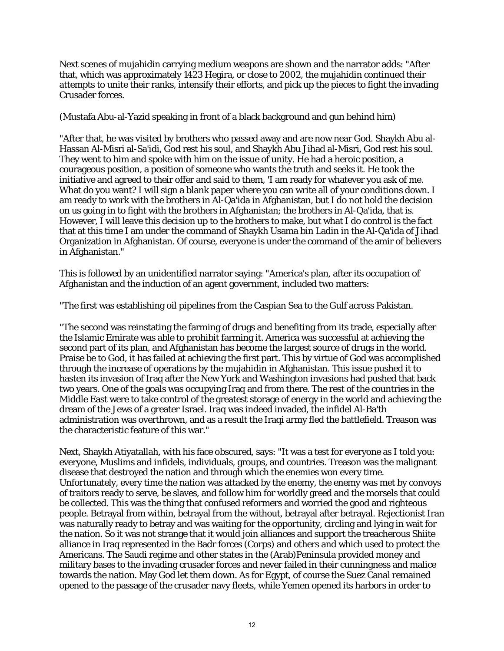Next scenes of mujahidin carrying medium weapons are shown and the narrator adds: "After that, which was approximately 1423 Hegira, or close to 2002, the mujahidin continued their attempts to unite their ranks, intensify their efforts, and pick up the pieces to fight the invading Crusader forces.

(Mustafa Abu-al-Yazid speaking in front of a black background and gun behind him)

"After that, he was visited by brothers who passed away and are now near God. Shaykh Abu al-Hassan Al-Misri al-Sa'idi, God rest his soul, and Shaykh Abu Jihad al-Misri, God rest his soul. They went to him and spoke with him on the issue of unity. He had a heroic position, a courageous position, a position of someone who wants the truth and seeks it. He took the initiative and agreed to their offer and said to them, 'I am ready for whatever you ask of me. What do you want? I will sign a blank paper where you can write all of your conditions down. I am ready to work with the brothers in Al-Qa'ida in Afghanistan, but I do not hold the decision on us going in to fight with the brothers in Afghanistan; the brothers in Al-Qa'ida, that is. However, I will leave this decision up to the brothers to make, but what I do control is the fact that at this time I am under the command of Shaykh Usama bin Ladin in the Al-Qa'ida of Jihad Organization in Afghanistan. Of course, everyone is under the command of the amir of believers in Afghanistan."

This is followed by an unidentified narrator saying: "America's plan, after its occupation of Afghanistan and the induction of an agent government, included two matters:

"The first was establishing oil pipelines from the Caspian Sea to the Gulf across Pakistan.

"The second was reinstating the farming of drugs and benefiting from its trade, especially after the Islamic Emirate was able to prohibit farming it. America was successful at achieving the second part of its plan, and Afghanistan has become the largest source of drugs in the world. Praise be to God, it has failed at achieving the first part. This by virtue of God was accomplished through the increase of operations by the mujahidin in Afghanistan. This issue pushed it to hasten its invasion of Iraq after the New York and Washington invasions had pushed that back two years. One of the goals was occupying Iraq and from there. The rest of the countries in the Middle East were to take control of the greatest storage of energy in the world and achieving the dream of the Jews of a greater Israel. Iraq was indeed invaded, the infidel Al-Ba'th administration was overthrown, and as a result the Iraqi army fled the battlefield. Treason was the characteristic feature of this war."

Next, Shaykh Atiyatallah, with his face obscured, says: "It was a test for everyone as I told you: everyone, Muslims and infidels, individuals, groups, and countries. Treason was the malignant disease that destroyed the nation and through which the enemies won every time. Unfortunately, every time the nation was attacked by the enemy, the enemy was met by convoys of traitors ready to serve, be slaves, and follow him for worldly greed and the morsels that could be collected. This was the thing that confused reformers and worried the good and righteous people. Betrayal from within, betrayal from the without, betrayal after betrayal. Rejectionist Iran was naturally ready to betray and was waiting for the opportunity, circling and lying in wait for the nation. So it was not strange that it would join alliances and support the treacherous Shiite alliance in Iraq represented in the Badr forces (Corps) and others and which used to protect the Americans. The Saudi regime and other states in the (Arab)Peninsula provided money and military bases to the invading crusader forces and never failed in their cunningness and malice towards the nation. May God let them down. As for Egypt, of course the Suez Canal remained opened to the passage of the crusader navy fleets, while Yemen opened its harbors in order to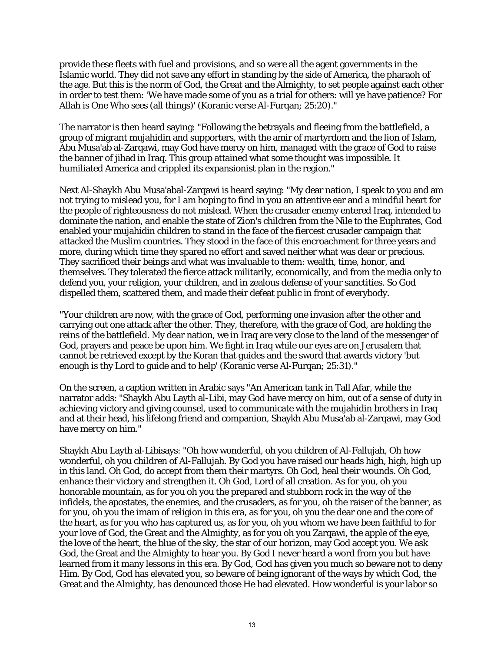provide these fleets with fuel and provisions, and so were all the agent governments in the Islamic world. They did not save any effort in standing by the side of America, the pharaoh of the age. But this is the norm of God, the Great and the Almighty, to set people against each other in order to test them: 'We have made some of you as a trial for others: will ye have patience? For Allah is One Who sees (all things)' (Koranic verse Al-Furqan; 25:20)."

The narrator is then heard saying: "Following the betrayals and fleeing from the battlefield, a group of migrant mujahidin and supporters, with the amir of martyrdom and the lion of Islam, Abu Musa'ab al-Zarqawi, may God have mercy on him, managed with the grace of God to raise the banner of jihad in Iraq. This group attained what some thought was impossible. It humiliated America and crippled its expansionist plan in the region."

Next Al-Shaykh Abu Musa'abal-Zarqawi is heard saying: "My dear nation, I speak to you and am not trying to mislead you, for I am hoping to find in you an attentive ear and a mindful heart for the people of righteousness do not mislead. When the crusader enemy entered Iraq, intended to dominate the nation, and enable the state of Zion's children from the Nile to the Euphrates, God enabled your mujahidin children to stand in the face of the fiercest crusader campaign that attacked the Muslim countries. They stood in the face of this encroachment for three years and more, during which time they spared no effort and saved neither what was dear or precious. They sacrificed their beings and what was invaluable to them: wealth, time, honor, and themselves. They tolerated the fierce attack militarily, economically, and from the media only to defend you, your religion, your children, and in zealous defense of your sanctities. So God dispelled them, scattered them, and made their defeat public in front of everybody.

"Your children are now, with the grace of God, performing one invasion after the other and carrying out one attack after the other. They, therefore, with the grace of God, are holding the reins of the battlefield. My dear nation, we in Iraq are very close to the land of the messenger of God, prayers and peace be upon him. We fight in Iraq while our eyes are on Jerusalem that cannot be retrieved except by the Koran that guides and the sword that awards victory 'but enough is thy Lord to guide and to help' (Koranic verse Al-Furqan; 25:31)."

On the screen, a caption written in Arabic says "An American tank in Tall Afar, while the narrator adds: "Shaykh Abu Layth al-Libi, may God have mercy on him, out of a sense of duty in achieving victory and giving counsel, used to communicate with the mujahidin brothers in Iraq and at their head, his lifelong friend and companion, Shaykh Abu Musa'ab al-Zarqawi, may God have mercy on him."

Shaykh Abu Layth al-Libisays: "Oh how wonderful, oh you children of Al-Fallujah, Oh how wonderful, oh you children of Al-Fallujah. By God you have raised our heads high, high, high up in this land. Oh God, do accept from them their martyrs. Oh God, heal their wounds. Oh God, enhance their victory and strengthen it. Oh God, Lord of all creation. As for you, oh you honorable mountain, as for you oh you the prepared and stubborn rock in the way of the infidels, the apostates, the enemies, and the crusaders, as for you, oh the raiser of the banner, as for you, oh you the imam of religion in this era, as for you, oh you the dear one and the core of the heart, as for you who has captured us, as for you, oh you whom we have been faithful to for your love of God, the Great and the Almighty, as for you oh you Zarqawi, the apple of the eye, the love of the heart, the blue of the sky, the star of our horizon, may God accept you. We ask God, the Great and the Almighty to hear you. By God I never heard a word from you but have learned from it many lessons in this era. By God, God has given you much so beware not to deny Him. By God, God has elevated you, so beware of being ignorant of the ways by which God, the Great and the Almighty, has denounced those He had elevated. How wonderful is your labor so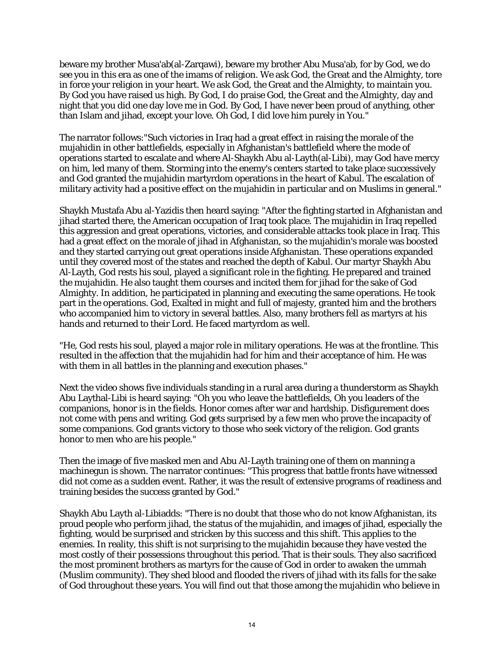beware my brother Musa'ab(al-Zarqawi), beware my brother Abu Musa'ab, for by God, we do see you in this era as one of the imams of religion. We ask God, the Great and the Almighty, tore in force your religion in your heart. We ask God, the Great and the Almighty, to maintain you. By God you have raised us high. By God, I do praise God, the Great and the Almighty, day and night that you did one day love me in God. By God, I have never been proud of anything, other than Islam and jihad, except your love. Oh God, I did love him purely in You."

The narrator follows:"Such victories in Iraq had a great effect in raising the morale of the mujahidin in other battlefields, especially in Afghanistan's battlefield where the mode of operations started to escalate and where Al-Shaykh Abu al-Layth(al-Libi), may God have mercy on him, led many of them. Storming into the enemy's centers started to take place successively and God granted the mujahidin martyrdom operations in the heart of Kabul. The escalation of military activity had a positive effect on the mujahidin in particular and on Muslims in general."

Shaykh Mustafa Abu al-Yazidis then heard saying: "After the fighting started in Afghanistan and jihad started there, the American occupation of Iraq took place. The mujahidin in Iraq repelled this aggression and great operations, victories, and considerable attacks took place in Iraq. This had a great effect on the morale of jihad in Afghanistan, so the mujahidin's morale was boosted and they started carrying out great operations inside Afghanistan. These operations expanded until they covered most of the states and reached the depth of Kabul. Our martyr Shaykh Abu Al-Layth, God rests his soul, played a significant role in the fighting. He prepared and trained the mujahidin. He also taught them courses and incited them for jihad for the sake of God Almighty. In addition, he participated in planning and executing the same operations. He took part in the operations. God, Exalted in might and full of majesty, granted him and the brothers who accompanied him to victory in several battles. Also, many brothers fell as martyrs at his hands and returned to their Lord. He faced martyrdom as well.

"He, God rests his soul, played a major role in military operations. He was at the frontline. This resulted in the affection that the mujahidin had for him and their acceptance of him. He was with them in all battles in the planning and execution phases."

Next the video shows five individuals standing in a rural area during a thunderstorm as Shaykh Abu Laythal-Libi is heard saying: "Oh you who leave the battlefields, Oh you leaders of the companions, honor is in the fields. Honor comes after war and hardship. Disfigurement does not come with pens and writing. God gets surprised by a few men who prove the incapacity of some companions. God grants victory to those who seek victory of the religion. God grants honor to men who are his people."

Then the image of five masked men and Abu Al-Layth training one of them on manning a machinegun is shown. The narrator continues: "This progress that battle fronts have witnessed did not come as a sudden event. Rather, it was the result of extensive programs of readiness and training besides the success granted by God."

Shaykh Abu Layth al-Libiadds: "There is no doubt that those who do not know Afghanistan, its proud people who perform jihad, the status of the mujahidin, and images of jihad, especially the fighting, would be surprised and stricken by this success and this shift. This applies to the enemies. In reality, this shift is not surprising to the mujahidin because they have vested the most costly of their possessions throughout this period. That is their souls. They also sacrificed the most prominent brothers as martyrs for the cause of God in order to awaken the ummah (Muslim community). They shed blood and flooded the rivers of jihad with its falls for the sake of God throughout these years. You will find out that those among the mujahidin who believe in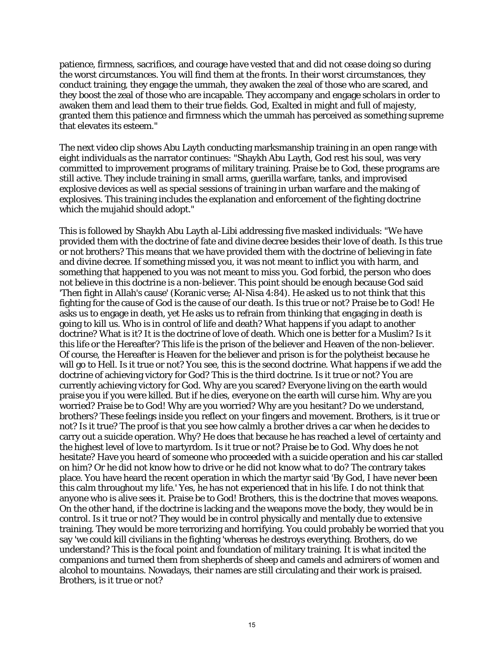patience, firmness, sacrifices, and courage have vested that and did not cease doing so during the worst circumstances. You will find them at the fronts. In their worst circumstances, they conduct training, they engage the ummah, they awaken the zeal of those who are scared, and they boost the zeal of those who are incapable. They accompany and engage scholars in order to awaken them and lead them to their true fields. God, Exalted in might and full of majesty, granted them this patience and firmness which the ummah has perceived as something supreme that elevates its esteem."

The next video clip shows Abu Layth conducting marksmanship training in an open range with eight individuals as the narrator continues: "Shaykh Abu Layth, God rest his soul, was very committed to improvement programs of military training. Praise be to God, these programs are still active. They include training in small arms, guerilla warfare, tanks, and improvised explosive devices as well as special sessions of training in urban warfare and the making of explosives. This training includes the explanation and enforcement of the fighting doctrine which the mujahid should adopt."

This is followed by Shaykh Abu Layth al-Libi addressing five masked individuals: "We have provided them with the doctrine of fate and divine decree besides their love of death. Is this true or not brothers? This means that we have provided them with the doctrine of believing in fate and divine decree. If something missed you, it was not meant to inflict you with harm, and something that happened to you was not meant to miss you. God forbid, the person who does not believe in this doctrine is a non-believer. This point should be enough because God said 'Then fight in Allah's cause' (Koranic verse; Al-Nisa 4:84). He asked us to not think that this fighting for the cause of God is the cause of our death. Is this true or not? Praise be to God! He asks us to engage in death, yet He asks us to refrain from thinking that engaging in death is going to kill us. Who is in control of life and death? What happens if you adapt to another doctrine? What is it? It is the doctrine of love of death. Which one is better for a Muslim? Is it this life or the Hereafter? This life is the prison of the believer and Heaven of the non-believer. Of course, the Hereafter is Heaven for the believer and prison is for the polytheist because he will go to Hell. Is it true or not? You see, this is the second doctrine. What happens if we add the doctrine of achieving victory for God? This is the third doctrine. Is it true or not? You are currently achieving victory for God. Why are you scared? Everyone living on the earth would praise you if you were killed. But if he dies, everyone on the earth will curse him. Why are you worried? Praise be to God! Why are you worried? Why are you hesitant? Do we understand, brothers? These feelings inside you reflect on your fingers and movement. Brothers, is it true or not? Is it true? The proof is that you see how calmly a brother drives a car when he decides to carry out a suicide operation. Why? He does that because he has reached a level of certainty and the highest level of love to martyrdom. Is it true or not? Praise be to God. Why does he not hesitate? Have you heard of someone who proceeded with a suicide operation and his car stalled on him? Or he did not know how to drive or he did not know what to do? The contrary takes place. You have heard the recent operation in which the martyr said 'By God, I have never been this calm throughout my life.' Yes, he has not experienced that in his life. I do not think that anyone who is alive sees it. Praise be to God! Brothers, this is the doctrine that moves weapons. On the other hand, if the doctrine is lacking and the weapons move the body, they would be in control. Is it true or not? They would be in control physically and mentally due to extensive training. They would be more terrorizing and horrifying. You could probably be worried that you say 'we could kill civilians in the fighting 'whereas he destroys everything. Brothers, do we understand? This is the focal point and foundation of military training. It is what incited the companions and turned them from shepherds of sheep and camels and admirers of women and alcohol to mountains. Nowadays, their names are still circulating and their work is praised. Brothers, is it true or not?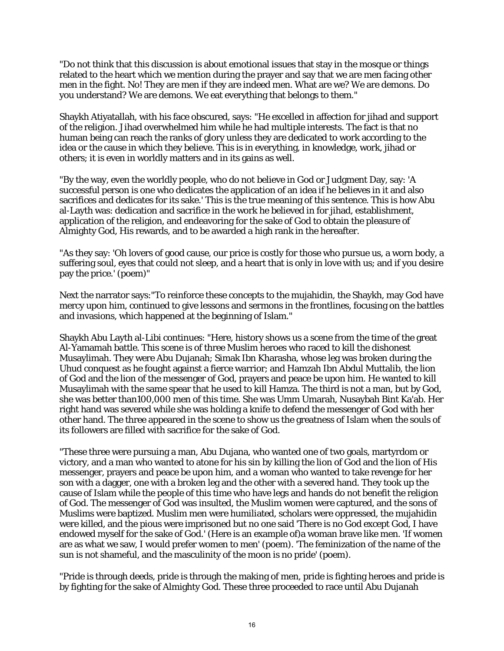"Do not think that this discussion is about emotional issues that stay in the mosque or things related to the heart which we mention during the prayer and say that we are men facing other men in the fight. No! They are men if they are indeed men. What are we? We are demons. Do you understand? We are demons. We eat everything that belongs to them."

Shaykh Atiyatallah, with his face obscured, says: "He excelled in affection for jihad and support of the religion. Jihad overwhelmed him while he had multiple interests. The fact is that no human being can reach the ranks of glory unless they are dedicated to work according to the idea or the cause in which they believe. This is in everything, in knowledge, work, jihad or others; it is even in worldly matters and in its gains as well.

"By the way, even the worldly people, who do not believe in God or Judgment Day, say: 'A successful person is one who dedicates the application of an idea if he believes in it and also sacrifices and dedicates for its sake.' This is the true meaning of this sentence. This is how Abu al-Layth was: dedication and sacrifice in the work he believed in for jihad, establishment, application of the religion, and endeavoring for the sake of God to obtain the pleasure of Almighty God, His rewards, and to be awarded a high rank in the hereafter.

"As they say: 'Oh lovers of good cause, our price is costly for those who pursue us, a worn body, a suffering soul, eyes that could not sleep, and a heart that is only in love with us; and if you desire pay the price.' (poem)"

Next the narrator says:"To reinforce these concepts to the mujahidin, the Shaykh, may God have mercy upon him, continued to give lessons and sermons in the frontlines, focusing on the battles and invasions, which happened at the beginning of Islam."

Shaykh Abu Layth al-Libi continues: "Here, history shows us a scene from the time of the great Al-Yamamah battle. This scene is of three Muslim heroes who raced to kill the dishonest Musaylimah. They were Abu Dujanah; Simak Ibn Kharasha, whose leg was broken during the Uhud conquest as he fought against a fierce warrior; and Hamzah Ibn Abdul Muttalib, the lion of God and the lion of the messenger of God, prayers and peace be upon him. He wanted to kill Musaylimah with the same spear that he used to kill Hamza. The third is not a man, but by God, she was better than100,000 men of this time. She was Umm Umarah, Nusaybah Bint Ka'ab. Her right hand was severed while she was holding a knife to defend the messenger of God with her other hand. The three appeared in the scene to show us the greatness of Islam when the souls of its followers are filled with sacrifice for the sake of God.

"These three were pursuing a man, Abu Dujana, who wanted one of two goals, martyrdom or victory, and a man who wanted to atone for his sin by killing the lion of God and the lion of His messenger, prayers and peace be upon him, and a woman who wanted to take revenge for her son with a dagger, one with a broken leg and the other with a severed hand. They took up the cause of Islam while the people of this time who have legs and hands do not benefit the religion of God. The messenger of God was insulted, the Muslim women were captured, and the sons of Muslims were baptized. Muslim men were humiliated, scholars were oppressed, the mujahidin were killed, and the pious were imprisoned but no one said 'There is no God except God, I have endowed myself for the sake of God.' (Here is an example of)a woman brave like men. 'If women are as what we saw, I would prefer women to men' (poem). 'The feminization of the name of the sun is not shameful, and the masculinity of the moon is no pride' (poem).

"Pride is through deeds, pride is through the making of men, pride is fighting heroes and pride is by fighting for the sake of Almighty God. These three proceeded to race until Abu Dujanah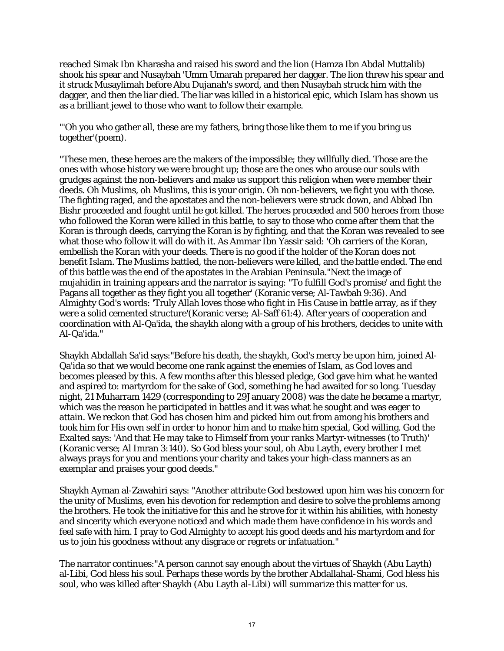reached Simak Ibn Kharasha and raised his sword and the lion (Hamza Ibn Abdal Muttalib) shook his spear and Nusaybah 'Umm Umarah prepared her dagger. The lion threw his spear and it struck Musaylimah before Abu Dujanah's sword, and then Nusaybah struck him with the dagger, and then the liar died. The liar was killed in a historical epic, which Islam has shown us as a brilliant jewel to those who want to follow their example.

"'Oh you who gather all, these are my fathers, bring those like them to me if you bring us together'(poem).

"These men, these heroes are the makers of the impossible; they willfully died. Those are the ones with whose history we were brought up; those are the ones who arouse our souls with grudges against the non-believers and make us support this religion when were member their deeds. Oh Muslims, oh Muslims, this is your origin. Oh non-believers, we fight you with those. The fighting raged, and the apostates and the non-believers were struck down, and Abbad Ibn Bishr proceeded and fought until he got killed. The heroes proceeded and 500 heroes from those who followed the Koran were killed in this battle, to say to those who come after them that the Koran is through deeds, carrying the Koran is by fighting, and that the Koran was revealed to see what those who follow it will do with it. As Ammar Ibn Yassir said: 'Oh carriers of the Koran, embellish the Koran with your deeds. There is no good if the holder of the Koran does not benefit Islam. The Muslims battled, the non-believers were killed, and the battle ended. The end of this battle was the end of the apostates in the Arabian Peninsula."Next the image of mujahidin in training appears and the narrator is saying: "To fulfill God's promise' and fight the Pagans all together as they fight you all together' (Koranic verse; Al-Tawbah 9:36). And Almighty God's words: 'Truly Allah loves those who fight in His Cause in battle array, as if they were a solid cemented structure'(Koranic verse; Al-Saff 61:4). After years of cooperation and coordination with Al-Qa'ida, the shaykh along with a group of his brothers, decides to unite with Al-Qa'ida."

Shaykh Abdallah Sa'id says:"Before his death, the shaykh, God's mercy be upon him, joined Al-Qa'ida so that we would become one rank against the enemies of Islam, as God loves and becomes pleased by this. A few months after this blessed pledge, God gave him what he wanted and aspired to: martyrdom for the sake of God, something he had awaited for so long. Tuesday night, 21 Muharram 1429 (corresponding to 29January 2008) was the date he became a martyr, which was the reason he participated in battles and it was what he sought and was eager to attain. We reckon that God has chosen him and picked him out from among his brothers and took him for His own self in order to honor him and to make him special, God willing. God the Exalted says: 'And that He may take to Himself from your ranks Martyr-witnesses (to Truth)' (Koranic verse; Al Imran 3:140). So God bless your soul, oh Abu Layth, every brother I met always prays for you and mentions your charity and takes your high-class manners as an exemplar and praises your good deeds."

Shaykh Ayman al-Zawahiri says: "Another attribute God bestowed upon him was his concern for the unity of Muslims, even his devotion for redemption and desire to solve the problems among the brothers. He took the initiative for this and he strove for it within his abilities, with honesty and sincerity which everyone noticed and which made them have confidence in his words and feel safe with him. I pray to God Almighty to accept his good deeds and his martyrdom and for us to join his goodness without any disgrace or regrets or infatuation."

The narrator continues:"A person cannot say enough about the virtues of Shaykh (Abu Layth) al-Libi, God bless his soul. Perhaps these words by the brother Abdallahal-Shami, God bless his soul, who was killed after Shaykh (Abu Layth al-Libi) will summarize this matter for us.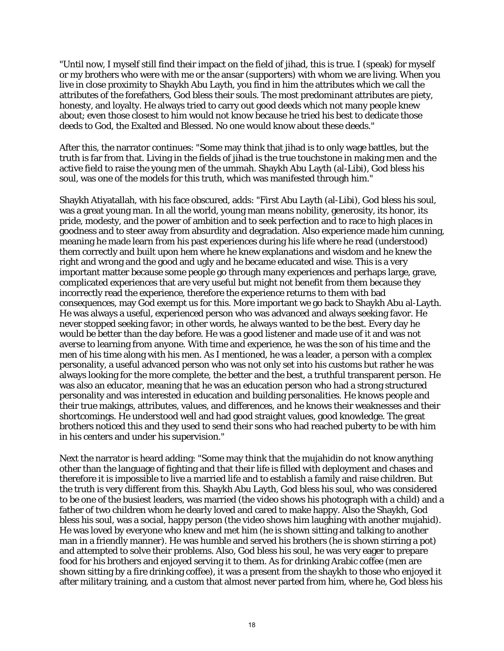"Until now, I myself still find their impact on the field of jihad, this is true. I (speak) for myself or my brothers who were with me or the ansar (supporters) with whom we are living. When you live in close proximity to Shaykh Abu Layth, you find in him the attributes which we call the attributes of the forefathers, God bless their souls. The most predominant attributes are piety, honesty, and loyalty. He always tried to carry out good deeds which not many people knew about; even those closest to him would not know because he tried his best to dedicate those deeds to God, the Exalted and Blessed. No one would know about these deeds."

After this, the narrator continues: "Some may think that jihad is to only wage battles, but the truth is far from that. Living in the fields of jihad is the true touchstone in making men and the active field to raise the young men of the ummah. Shaykh Abu Layth (al-Libi), God bless his soul, was one of the models for this truth, which was manifested through him."

Shaykh Atiyatallah, with his face obscured, adds: "First Abu Layth (al-Libi), God bless his soul, was a great young man. In all the world, young man means nobility, generosity, its honor, its pride, modesty, and the power of ambition and to seek perfection and to race to high places in goodness and to steer away from absurdity and degradation. Also experience made him cunning, meaning he made learn from his past experiences during his life where he read (understood) them correctly and built upon hem where he knew explanations and wisdom and he knew the right and wrong and the good and ugly and he became educated and wise. This is a very important matter because some people go through many experiences and perhaps large, grave, complicated experiences that are very useful but might not benefit from them because they incorrectly read the experience, therefore the experience returns to them with bad consequences, may God exempt us for this. More important we go back to Shaykh Abu al-Layth. He was always a useful, experienced person who was advanced and always seeking favor. He never stopped seeking favor; in other words, he always wanted to be the best. Every day he would be better than the day before. He was a good listener and made use of it and was not averse to learning from anyone. With time and experience, he was the son of his time and the men of his time along with his men. As I mentioned, he was a leader, a person with a complex personality, a useful advanced person who was not only set into his customs but rather he was always looking for the more complete, the better and the best, a truthful transparent person. He was also an educator, meaning that he was an education person who had a strong structured personality and was interested in education and building personalities. He knows people and their true makings, attributes, values, and differences, and he knows their weaknesses and their shortcomings. He understood well and had good straight values, good knowledge. The great brothers noticed this and they used to send their sons who had reached puberty to be with him in his centers and under his supervision."

Next the narrator is heard adding: "Some may think that the mujahidin do not know anything other than the language of fighting and that their life is filled with deployment and chases and therefore it is impossible to live a married life and to establish a family and raise children. But the truth is very different from this. Shaykh Abu Layth, God bless his soul, who was considered to be one of the busiest leaders, was married (the video shows his photograph with a child) and a father of two children whom he dearly loved and cared to make happy. Also the Shaykh, God bless his soul, was a social, happy person (the video shows him laughing with another mujahid). He was loved by everyone who knew and met him (he is shown sitting and talking to another man in a friendly manner). He was humble and served his brothers (he is shown stirring a pot) and attempted to solve their problems. Also, God bless his soul, he was very eager to prepare food for his brothers and enjoyed serving it to them. As for drinking Arabic coffee (men are shown sitting by a fire drinking coffee), it was a present from the shaykh to those who enjoyed it after military training, and a custom that almost never parted from him, where he, God bless his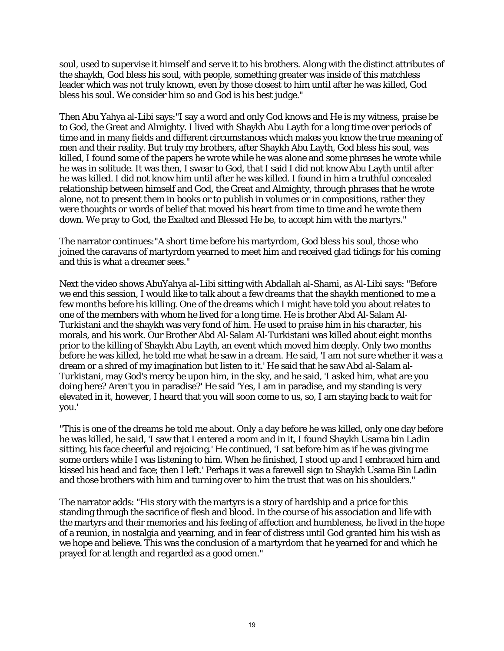soul, used to supervise it himself and serve it to his brothers. Along with the distinct attributes of the shaykh, God bless his soul, with people, something greater was inside of this matchless leader which was not truly known, even by those closest to him until after he was killed, God bless his soul. We consider him so and God is his best judge."

Then Abu Yahya al-Libi says:"I say a word and only God knows and He is my witness, praise be to God, the Great and Almighty. I lived with Shaykh Abu Layth for a long time over periods of time and in many fields and different circumstances which makes you know the true meaning of men and their reality. But truly my brothers, after Shaykh Abu Layth, God bless his soul, was killed, I found some of the papers he wrote while he was alone and some phrases he wrote while he was in solitude. It was then, I swear to God, that I said I did not know Abu Layth until after he was killed. I did not know him until after he was killed. I found in him a truthful concealed relationship between himself and God, the Great and Almighty, through phrases that he wrote alone, not to present them in books or to publish in volumes or in compositions, rather they were thoughts or words of belief that moved his heart from time to time and he wrote them down. We pray to God, the Exalted and Blessed He be, to accept him with the martyrs."

The narrator continues:"A short time before his martyrdom, God bless his soul, those who joined the caravans of martyrdom yearned to meet him and received glad tidings for his coming and this is what a dreamer sees."

Next the video shows AbuYahya al-Libi sitting with Abdallah al-Shami, as Al-Libi says: "Before we end this session, I would like to talk about a few dreams that the shaykh mentioned to me a few months before his killing. One of the dreams which I might have told you about relates to one of the members with whom he lived for a long time. He is brother Abd Al-Salam Al-Turkistani and the shaykh was very fond of him. He used to praise him in his character, his morals, and his work. Our Brother Abd Al-Salam Al-Turkistani was killed about eight months prior to the killing of Shaykh Abu Layth, an event which moved him deeply. Only two months before he was killed, he told me what he saw in a dream. He said, 'I am not sure whether it was a dream or a shred of my imagination but listen to it.' He said that he saw Abd al-Salam al-Turkistani, may God's mercy be upon him, in the sky, and he said, 'I asked him, what are you doing here? Aren't you in paradise?' He said 'Yes, I am in paradise, and my standing is very elevated in it, however, I heard that you will soon come to us, so, I am staying back to wait for you.'

"This is one of the dreams he told me about. Only a day before he was killed, only one day before he was killed, he said, 'I saw that I entered a room and in it, I found Shaykh Usama bin Ladin sitting, his face cheerful and rejoicing.' He continued, 'I sat before him as if he was giving me some orders while I was listening to him. When he finished, I stood up and I embraced him and kissed his head and face; then I left.' Perhaps it was a farewell sign to Shaykh Usama Bin Ladin and those brothers with him and turning over to him the trust that was on his shoulders."

The narrator adds: "His story with the martyrs is a story of hardship and a price for this standing through the sacrifice of flesh and blood. In the course of his association and life with the martyrs and their memories and his feeling of affection and humbleness, he lived in the hope of a reunion, in nostalgia and yearning, and in fear of distress until God granted him his wish as we hope and believe. This was the conclusion of a martyrdom that he yearned for and which he prayed for at length and regarded as a good omen."